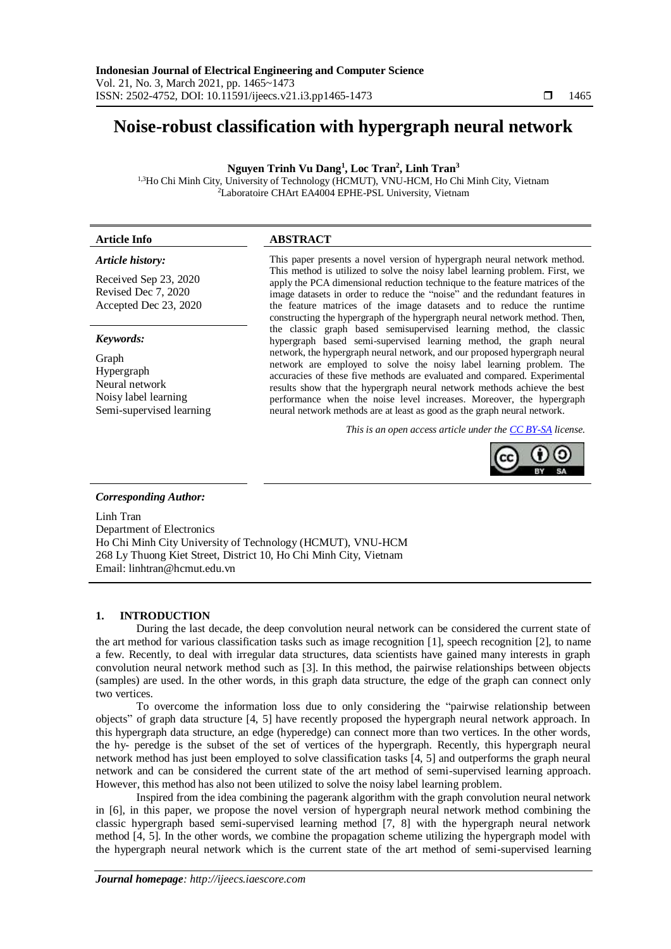# **Noise-robust classification with hypergraph neural network**

# **Nguyen Trinh Vu Dang<sup>1</sup> , Loc Tran<sup>2</sup> , Linh Tran<sup>3</sup>**

1,3Ho Chi Minh City, University of Technology (HCMUT), VNU-HCM, Ho Chi Minh City, Vietnam <sup>2</sup>Laboratoire CHArt EA4004 EPHE-PSL University, Vietnam

# **Article Info ABSTRACT**

# *Article history:*

Received Sep 23, 2020 Revised Dec 7, 2020 Accepted Dec 23, 2020

### *Keywords:*

Graph Hypergraph Neural network Noisy label learning Semi-supervised learning This paper presents a novel version of hypergraph neural network method. This method is utilized to solve the noisy label learning problem. First, we apply the PCA dimensional reduction technique to the feature matrices of the image datasets in order to reduce the "noise" and the redundant features in the feature matrices of the image datasets and to reduce the runtime constructing the hypergraph of the hypergraph neural network method. Then, the classic graph based semisupervised learning method, the classic hypergraph based semi-supervised learning method, the graph neural network, the hypergraph neural network, and our proposed hypergraph neural network are employed to solve the noisy label learning problem. The accuracies of these five methods are evaluated and compared. Experimental results show that the hypergraph neural network methods achieve the best performance when the noise level increases. Moreover, the hypergraph neural network methods are at least as good as the graph neural network.

*This is an open access article under the [CC BY-SA](https://creativecommons.org/licenses/by-sa/4.0/) license.*



# *Corresponding Author:*

Linh Tran Department of Electronics Ho Chi Minh City University of Technology (HCMUT), VNU-HCM 268 Ly Thuong Kiet Street, District 10, Ho Chi Minh City, Vietnam Email: linhtran@hcmut.edu.vn

# **1. INTRODUCTION**

During the last decade, the deep convolution neural network can be considered the current state of the art method for various classification tasks such as image recognition [1], speech recognition [2], to name a few. Recently, to deal with irregular data structures, data scientists have gained many interests in graph convolution neural network method such as [3]. In this method, the pairwise relationships between objects (samples) are used. In the other words, in this graph data structure, the edge of the graph can connect only two vertices.

To overcome the information loss due to only considering the "pairwise relationship between objects" of graph data structure [4, 5] have recently proposed the hypergraph neural network approach. In this hypergraph data structure, an edge (hyperedge) can connect more than two vertices. In the other words, the hy- peredge is the subset of the set of vertices of the hypergraph. Recently, this hypergraph neural network method has just been employed to solve classification tasks [4, 5] and outperforms the graph neural network and can be considered the current state of the art method of semi-supervised learning approach. However, this method has also not been utilized to solve the noisy label learning problem.

Inspired from the idea combining the pagerank algorithm with the graph convolution neural network in [6], in this paper, we propose the novel version of hypergraph neural network method combining the classic hypergraph based semi-supervised learning method [7, 8] with the hypergraph neural network method [4, 5]. In the other words, we combine the propagation scheme utilizing the hypergraph model with the hypergraph neural network which is the current state of the art method of semi-supervised learning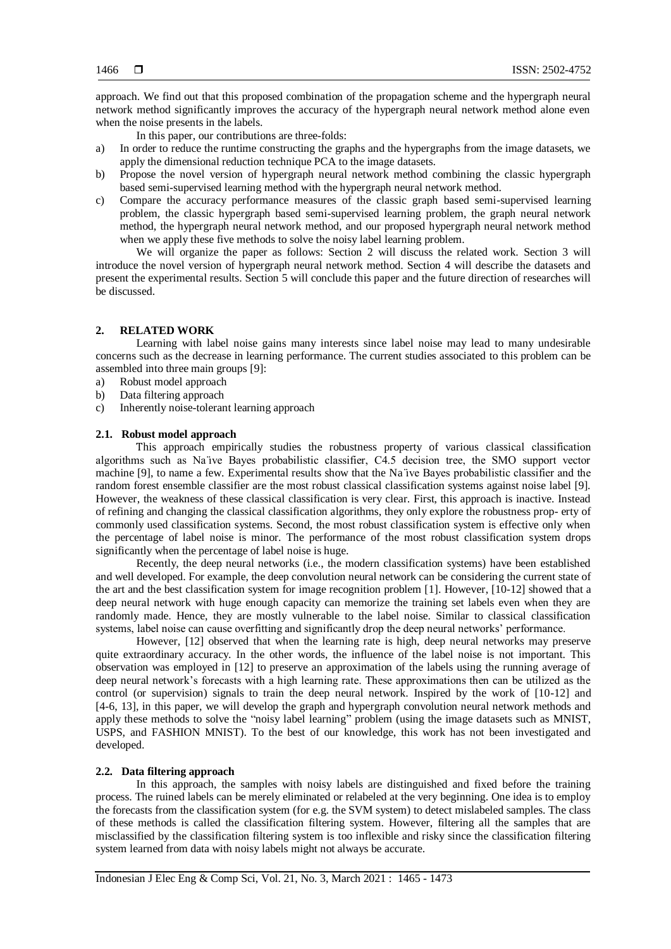approach. We find out that this proposed combination of the propagation scheme and the hypergraph neural network method significantly improves the accuracy of the hypergraph neural network method alone even when the noise presents in the labels.

In this paper, our contributions are three-folds:

- a) In order to reduce the runtime constructing the graphs and the hypergraphs from the image datasets, we apply the dimensional reduction technique PCA to the image datasets.
- b) Propose the novel version of hypergraph neural network method combining the classic hypergraph based semi-supervised learning method with the hypergraph neural network method.
- c) Compare the accuracy performance measures of the classic graph based semi-supervised learning problem, the classic hypergraph based semi-supervised learning problem, the graph neural network method, the hypergraph neural network method, and our proposed hypergraph neural network method when we apply these five methods to solve the noisy label learning problem.

We will organize the paper as follows: Section 2 will discuss the related work. Section 3 will introduce the novel version of hypergraph neural network method. Section 4 will describe the datasets and present the experimental results. Section 5 will conclude this paper and the future direction of researches will be discussed.

# **2. RELATED WORK**

Learning with label noise gains many interests since label noise may lead to many undesirable concerns such as the decrease in learning performance. The current studies associated to this problem can be assembled into three main groups [9]:

- a) Robust model approach
- b) Data filtering approach
- c) Inherently noise-tolerant learning approach

# **2.1. Robust model approach**

This approach empirically studies the robustness property of various classical classification algorithms such as Na ̈ıve Bayes probabilistic classifier, C4.5 decision tree, the SMO support vector machine [9], to name a few. Experimental results show that the Na ̈ıve Bayes probabilistic classifier and the random forest ensemble classifier are the most robust classical classification systems against noise label [9]. However, the weakness of these classical classification is very clear. First, this approach is inactive. Instead of refining and changing the classical classification algorithms, they only explore the robustness prop- erty of commonly used classification systems. Second, the most robust classification system is effective only when the percentage of label noise is minor. The performance of the most robust classification system drops significantly when the percentage of label noise is huge.

Recently, the deep neural networks (i.e., the modern classification systems) have been established and well developed. For example, the deep convolution neural network can be considering the current state of the art and the best classification system for image recognition problem [1]. However, [10-12] showed that a deep neural network with huge enough capacity can memorize the training set labels even when they are randomly made. Hence, they are mostly vulnerable to the label noise. Similar to classical classification systems, label noise can cause overfitting and significantly drop the deep neural networks' performance.

However, [12] observed that when the learning rate is high, deep neural networks may preserve quite extraordinary accuracy. In the other words, the influence of the label noise is not important. This observation was employed in [12] to preserve an approximation of the labels using the running average of deep neural network's forecasts with a high learning rate. These approximations then can be utilized as the control (or supervision) signals to train the deep neural network. Inspired by the work of [10-12] and [4-6, 13], in this paper, we will develop the graph and hypergraph convolution neural network methods and apply these methods to solve the "noisy label learning" problem (using the image datasets such as MNIST, USPS, and FASHION MNIST). To the best of our knowledge, this work has not been investigated and developed.

# **2.2. Data filtering approach**

In this approach, the samples with noisy labels are distinguished and fixed before the training process. The ruined labels can be merely eliminated or relabeled at the very beginning. One idea is to employ the forecasts from the classification system (for e.g. the SVM system) to detect mislabeled samples. The class of these methods is called the classification filtering system. However, filtering all the samples that are misclassified by the classification filtering system is too inflexible and risky since the classification filtering system learned from data with noisy labels might not always be accurate.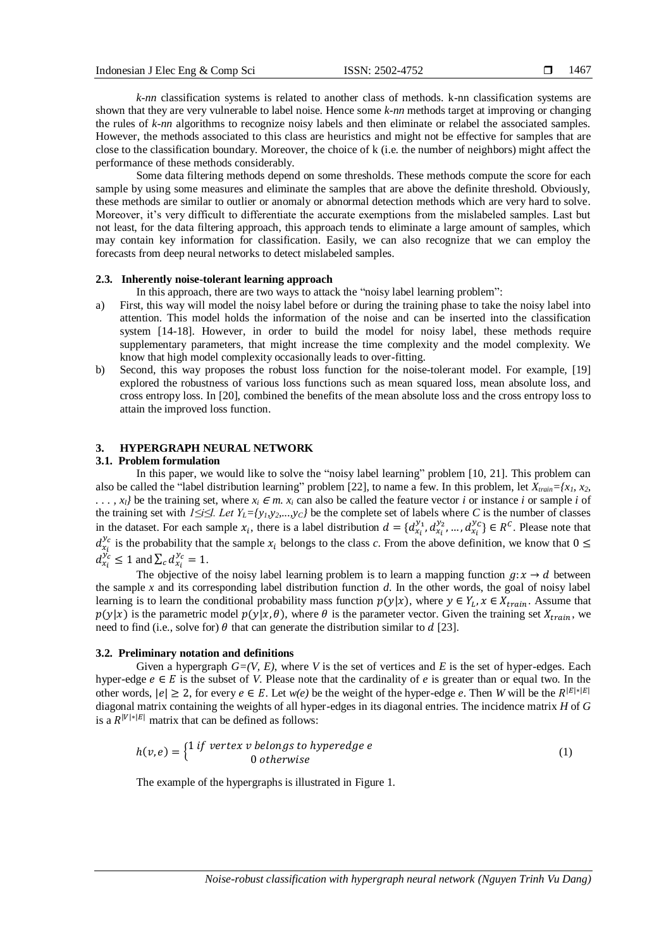*k-nn* classification systems is related to another class of methods. k-nn classification systems are shown that they are very vulnerable to label noise. Hence some *k-nn* methods target at improving or changing the rules of *k-nn* algorithms to recognize noisy labels and then eliminate or relabel the associated samples. However, the methods associated to this class are heuristics and might not be effective for samples that are close to the classification boundary. Moreover, the choice of k (i.e. the number of neighbors) might affect the performance of these methods considerably.

Some data filtering methods depend on some thresholds. These methods compute the score for each sample by using some measures and eliminate the samples that are above the definite threshold. Obviously, these methods are similar to outlier or anomaly or abnormal detection methods which are very hard to solve. Moreover, it's very difficult to differentiate the accurate exemptions from the mislabeled samples. Last but not least, for the data filtering approach, this approach tends to eliminate a large amount of samples, which may contain key information for classification. Easily, we can also recognize that we can employ the forecasts from deep neural networks to detect mislabeled samples.

# **2.3. Inherently noise-tolerant learning approach**

In this approach, there are two ways to attack the "noisy label learning problem":

- a) First, this way will model the noisy label before or during the training phase to take the noisy label into attention. This model holds the information of the noise and can be inserted into the classification system [14-18]. However, in order to build the model for noisy label, these methods require supplementary parameters, that might increase the time complexity and the model complexity. We know that high model complexity occasionally leads to over-fitting.
- b) Second, this way proposes the robust loss function for the noise-tolerant model. For example, [19] explored the robustness of various loss functions such as mean squared loss, mean absolute loss, and cross entropy loss. In [20], combined the benefits of the mean absolute loss and the cross entropy loss to attain the improved loss function.

# **3. HYPERGRAPH NEURAL NETWORK**

#### **3.1. Problem formulation**

In this paper, we would like to solve the "noisy label learning" problem [10, 21]. This problem can also be called the "label distribution learning" problem [22], to name a few. In this problem, let *Xtrain={x1, x2,*   $\ldots$ , *x*<sub>*i*</sub> $\ell$  be the training set, where *x*<sub>*i*</sub> ∈ *m. x*<sub>*i*</sub> can also be called the feature vector *i* or instance *i* or sample *i* of the training set with *1≤i≤l. Let YL={y1,y2,...,yC}* be the complete set of labels where *C* is the number of classes in the dataset. For each sample  $x_i$ , there is a label distribution  $d = \{d_{x_i}^{y_1}, d_{x_i}^{y_2}, ..., d_{x_i}^{y_C}\} \in R^C$ . Please note that  $d_{x_i}^{y_c}$  is the probability that the sample  $x_i$  belongs to the class *c*. From the above definition, we know that  $0 \leq$  $d_{x_i}^{y_c} \leq 1$  and  $\sum_c d_{x_i}^{y_c} = 1$ .

The objective of the noisy label learning problem is to learn a mapping function  $q: x \rightarrow d$  between the sample *x* and its corresponding label distribution function *d*. In the other words, the goal of noisy label learning is to learn the conditional probability mass function  $p(y|x)$ , where  $y \in Y_L$ ,  $x \in X_{train}$ . Assume that  $p(y|x)$  is the parametric model  $p(y|x, \theta)$ , where  $\theta$  is the parameter vector. Given the training set  $X_{train}$ , we need to find (i.e., solve for)  $\theta$  that can generate the distribution similar to  $d$  [23].

# **3.2. Preliminary notation and definitions**

Given a hypergraph *G=(V, E)*, where *V* is the set of vertices and *E* is the set of hyper-edges. Each hyper-edge  $e \in E$  is the subset of *V*. Please note that the cardinality of *e* is greater than or equal two. In the other words,  $|e| \ge 2$ , for every  $e \in E$ . Let  $w(e)$  be the weight of the hyper-edge *e*. Then *W* will be the  $R^{|E|*|E|}$ diagonal matrix containing the weights of all hyper-edges in its diagonal entries. The incidence matrix *H* of *G* is a  $R^{|V|*|E|}$  matrix that can be defined as follows:

$$
h(v,e) = \begin{cases} 1 \text{ if vertex } v \text{ belongs to hyperedge } e \\ 0 \text{ otherwise} \end{cases}
$$
 (1)

The example of the hypergraphs is illustrated in Figure 1.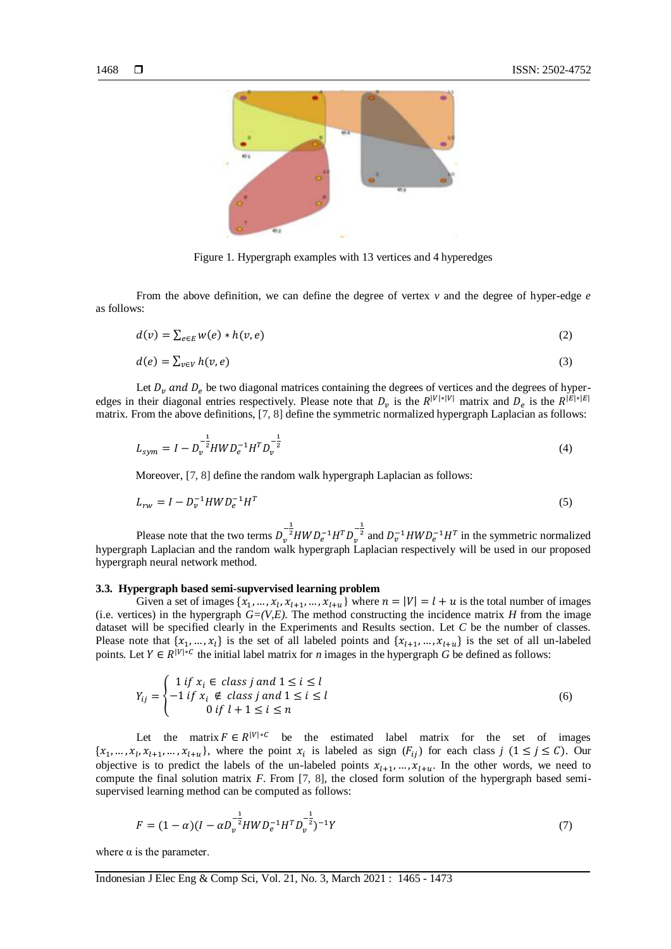

Figure 1. Hypergraph examples with 13 vertices and 4 hyperedges

From the above definition, we can define the degree of vertex *v* and the degree of hyper-edge *e* as follows:

$$
d(v) = \sum_{e \in E} w(e) * h(v, e)
$$
 (2)

$$
d(e) = \sum_{v \in V} h(v, e) \tag{3}
$$

Let  $D_v$  and  $D_e$  be two diagonal matrices containing the degrees of vertices and the degrees of hyperedges in their diagonal entries respectively. Please note that  $D_v$  is the  $R^{|V|*|V|}$  matrix and  $D_e$  is the  $R^{|E|*|E|}$ matrix. From the above definitions, [7, 8] define the symmetric normalized hypergraph Laplacian as follows:

$$
L_{sym} = I - D_{\nu}^{-\frac{1}{2}} H W D_{e}^{-1} H^{T} D_{\nu}^{-\frac{1}{2}}
$$
\n
$$
\tag{4}
$$

Moreover, [7, 8] define the random walk hypergraph Laplacian as follows:

$$
L_{rw} = I - D_v^{-1} H W D_e^{-1} H^T
$$
\n(5)

Please note that the two terms  $D_v^{-\frac{1}{2}}HWD_e^{-1}H^TD_v^{-\frac{1}{2}}$  and  $D_v^{-1}HWD_e^{-1}H^T$  in the symmetric normalized hypergraph Laplacian and the random walk hypergraph Laplacian respectively will be used in our proposed hypergraph neural network method.

# **3.3. Hypergraph based semi-supvervised learning problem**

Given a set of images  $\{x_1, ..., x_l, x_{l+1}, ..., x_{l+u}\}$  where  $n = |V| = l + u$  is the total number of images (i.e. vertices) in the hypergraph  $G=(V,E)$ . The method constructing the incidence matrix *H* from the image dataset will be specified clearly in the Experiments and Results section. Let *C* be the number of classes. Please note that  $\{x_1, ..., x_l\}$  is the set of all labeled points and  $\{x_{l+1}, ..., x_{l+u}\}$  is the set of all un-labeled points. Let  $Y \in R^{|V|*C}$  the initial label matrix for *n* images in the hypergraph *G* be defined as follows:

$$
Y_{ij} = \begin{cases} 1 \text{ if } x_i \in \text{ class } j \text{ and } 1 \le i \le l \\ -1 \text{ if } x_i \notin \text{ class } j \text{ and } 1 \le i \le l \\ 0 \text{ if } l+1 \le i \le n \end{cases}
$$
(6)

Let the matrix  $F \in R^{|V|*C}$  be the estimated label matrix for the set of images  $\{x_1, ..., x_l, x_{l+1}, ..., x_{l+u}\}\$ , where the point  $x_i$  is labeled as sign  $(F_{ij})$  for each class  $j \ (1 \leq j \leq C)\$ . Our objective is to predict the labels of the un-labeled points  $x_{l+1},...,x_{l+u}$ . In the other words, we need to compute the final solution matrix *F*. From [7, 8], the closed form solution of the hypergraph based semisupervised learning method can be computed as follows:

$$
F = (1 - \alpha)(I - \alpha D_v^{-\frac{1}{2}} H W D_e^{-1} H^T D_v^{-\frac{1}{2}})^{-1} Y
$$
\n(7)

where  $\alpha$  is the parameter.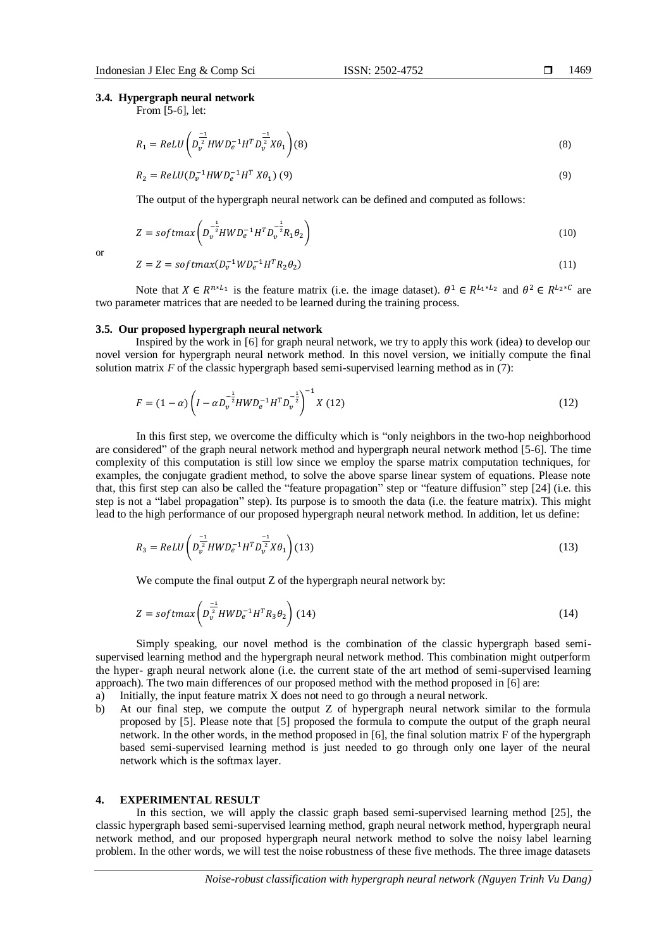# **3.4. Hypergraph neural network**

From [5-6], let:

$$
R_1 = ReLU \left( D_v^{\frac{-1}{2}} HWD_e^{-1}H^T D_v^{\frac{-1}{2}} X\theta_1 \right) (8)
$$
\n(8)

$$
R_2 = ReLU(D_v^{-1}HWD_e^{-1}H^T X\theta_1) (9)
$$
\n(9)

The output of the hypergraph neural network can be defined and computed as follows:

$$
Z = softmax\left(D_v^{-\frac{1}{2}}HWD_e^{-1}H^TD_v^{-\frac{1}{2}}R_1\theta_2\right)
$$
\n(10)

$$
\sum_{i=1}^{n} x_i
$$

$$
Z = Z = softmax(D_v^{-1}WD_e^{-1}H^TR_2\theta_2)
$$
\n
$$
(11)
$$

Note that  $X \in R^{n \times L_1}$  is the feature matrix (i.e. the image dataset).  $\theta^1 \in R^{L_1 \times L_2}$  and  $\theta^2 \in R^{L_2 \times C}$  are two parameter matrices that are needed to be learned during the training process.

# **3.5. Our proposed hypergraph neural network**

Inspired by the work in [6] for graph neural network, we try to apply this work (idea) to develop our novel version for hypergraph neural network method. In this novel version, we initially compute the final solution matrix  $F$  of the classic hypergraph based semi-supervised learning method as in  $(7)$ :

$$
F = (1 - \alpha) \left( I - \alpha D_v^{-\frac{1}{2}} H W D_e^{-1} H^T D_v^{-\frac{1}{2}} \right)^{-1} X (12)
$$
 (12)

In this first step, we overcome the difficulty which is "only neighbors in the two-hop neighborhood are considered" of the graph neural network method and hypergraph neural network method [5-6]. The time complexity of this computation is still low since we employ the sparse matrix computation techniques, for examples, the conjugate gradient method, to solve the above sparse linear system of equations. Please note that, this first step can also be called the "feature propagation" step or "feature diffusion" step [24] (i.e. this step is not a "label propagation" step). Its purpose is to smooth the data (i.e. the feature matrix). This might lead to the high performance of our proposed hypergraph neural network method. In addition, let us define:

$$
R_3 = ReLU \left( D_v^{\frac{-1}{2}} HWD_e^{-1}H^T D_v^{\frac{-1}{2}} X\theta_1 \right) (13)
$$
\n(13)

We compute the final output Z of the hypergraph neural network by:

$$
Z = softmax\left(D_v^{\frac{-1}{2}}HWD_e^{-1}H^TR_3\theta_2\right)(14)
$$
\n(14)

Simply speaking, our novel method is the combination of the classic hypergraph based semisupervised learning method and the hypergraph neural network method. This combination might outperform the hyper- graph neural network alone (i.e. the current state of the art method of semi-supervised learning approach). The two main differences of our proposed method with the method proposed in [6] are:

a) Initially, the input feature matrix X does not need to go through a neural network.

b) At our final step, we compute the output Z of hypergraph neural network similar to the formula proposed by [5]. Please note that [5] proposed the formula to compute the output of the graph neural network. In the other words, in the method proposed in [6], the final solution matrix F of the hypergraph based semi-supervised learning method is just needed to go through only one layer of the neural network which is the softmax layer.

#### **4. EXPERIMENTAL RESULT**

In this section, we will apply the classic graph based semi-supervised learning method [25], the classic hypergraph based semi-supervised learning method, graph neural network method, hypergraph neural network method, and our proposed hypergraph neural network method to solve the noisy label learning problem. In the other words, we will test the noise robustness of these five methods. The three image datasets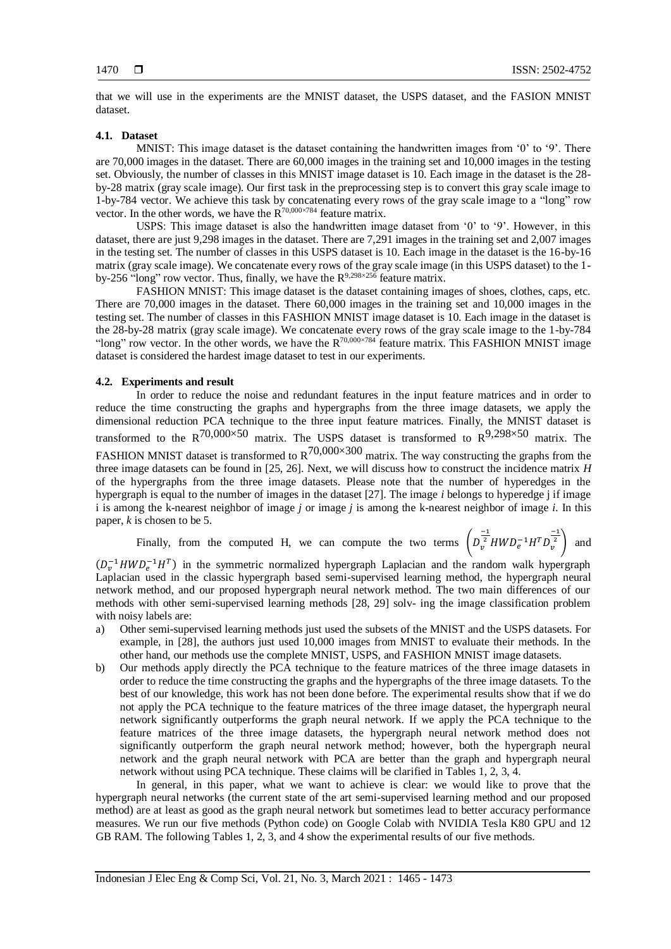that we will use in the experiments are the MNIST dataset, the USPS dataset, and the FASION MNIST dataset.

# **4.1. Dataset**

MNIST: This image dataset is the dataset containing the handwritten images from '0' to '9'. There are 70,000 images in the dataset. There are 60,000 images in the training set and 10,000 images in the testing set. Obviously, the number of classes in this MNIST image dataset is 10. Each image in the dataset is the 28 by-28 matrix (gray scale image). Our first task in the preprocessing step is to convert this gray scale image to 1-by-784 vector. We achieve this task by concatenating every rows of the gray scale image to a "long" row vector. In the other words, we have the  $R^{70,000\times784}$  feature matrix.

USPS: This image dataset is also the handwritten image dataset from '0' to '9'. However, in this dataset, there are just 9,298 images in the dataset. There are 7,291 images in the training set and 2,007 images in the testing set. The number of classes in this USPS dataset is 10. Each image in the dataset is the 16-by-16 matrix (gray scale image). We concatenate every rows of the gray scale image (in this USPS dataset) to the 1 by-256 "long" row vector. Thus, finally, we have the  $R^{9,298\times256}$  feature matrix.

FASHION MNIST: This image dataset is the dataset containing images of shoes, clothes, caps, etc. There are 70,000 images in the dataset. There 60,000 images in the training set and 10,000 images in the testing set. The number of classes in this FASHION MNIST image dataset is 10. Each image in the dataset is the 28-by-28 matrix (gray scale image). We concatenate every rows of the gray scale image to the 1-by-784 "long" row vector. In the other words, we have the  $R^{70,000\times784}$  feature matrix. This FASHION MNIST image dataset is considered the hardest image dataset to test in our experiments.

#### **4.2. Experiments and result**

In order to reduce the noise and redundant features in the input feature matrices and in order to reduce the time constructing the graphs and hypergraphs from the three image datasets, we apply the dimensional reduction PCA technique to the three input feature matrices. Finally, the MNIST dataset is transformed to the  $R^{70,000\times50}$  matrix. The USPS dataset is transformed to  $R^{9,298\times50}$  matrix. The FASHION MNIST dataset is transformed to  $R^{70,000\times300}$  matrix. The way constructing the graphs from the three image datasets can be found in [25, 26]. Next, we will discuss how to construct the incidence matrix *H* of the hypergraphs from the three image datasets. Please note that the number of hyperedges in the hypergraph is equal to the number of images in the dataset [27]. The image *i* belongs to hyperedge j if image i is among the k-nearest neighbor of image *j* or image *j* is among the k-nearest neighbor of image *i*. In this paper, *k* is chosen to be 5.

Finally, from the computed H, we can compute the two terms  $\left(D_{\nu}\right)$  $\frac{-1}{v^2} H W D_e^{-1} H^T D_v^{\frac{-1}{2}}$  and

 $(D_v^{-1}HWD_e^{-1}H^T)$  in the symmetric normalized hypergraph Laplacian and the random walk hypergraph Laplacian used in the classic hypergraph based semi-supervised learning method, the hypergraph neural network method, and our proposed hypergraph neural network method. The two main differences of our methods with other semi-supervised learning methods [28, 29] solv- ing the image classification problem with noisy labels are:

- a) Other semi-supervised learning methods just used the subsets of the MNIST and the USPS datasets. For example, in [28], the authors just used 10,000 images from MNIST to evaluate their methods. In the other hand, our methods use the complete MNIST, USPS, and FASHION MNIST image datasets.
- b) Our methods apply directly the PCA technique to the feature matrices of the three image datasets in order to reduce the time constructing the graphs and the hypergraphs of the three image datasets. To the best of our knowledge, this work has not been done before. The experimental results show that if we do not apply the PCA technique to the feature matrices of the three image dataset, the hypergraph neural network significantly outperforms the graph neural network. If we apply the PCA technique to the feature matrices of the three image datasets, the hypergraph neural network method does not significantly outperform the graph neural network method; however, both the hypergraph neural network and the graph neural network with PCA are better than the graph and hypergraph neural network without using PCA technique. These claims will be clarified in Tables 1, 2, 3, 4.

In general, in this paper, what we want to achieve is clear: we would like to prove that the hypergraph neural networks (the current state of the art semi-supervised learning method and our proposed method) are at least as good as the graph neural network but sometimes lead to better accuracy performance measures. We run our five methods (Python code) on Google Colab with NVIDIA Tesla K80 GPU and 12 GB RAM. The following Tables 1, 2, 3, and 4 show the experimental results of our five methods.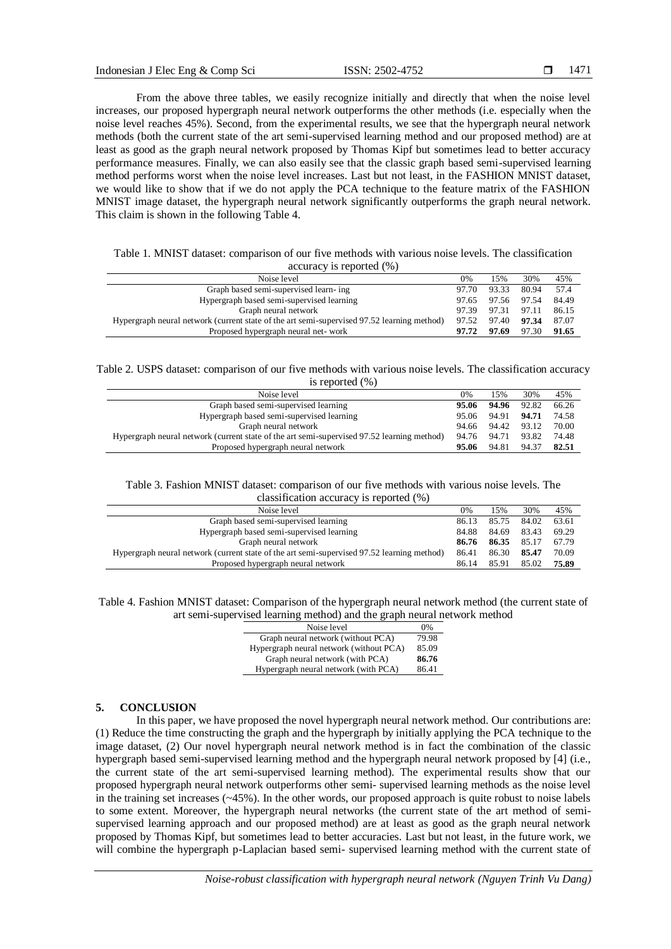From the above three tables, we easily recognize initially and directly that when the noise level increases, our proposed hypergraph neural network outperforms the other methods (i.e. especially when the noise level reaches 45%). Second, from the experimental results, we see that the hypergraph neural network methods (both the current state of the art semi-supervised learning method and our proposed method) are at least as good as the graph neural network proposed by Thomas Kipf but sometimes lead to better accuracy performance measures. Finally, we can also easily see that the classic graph based semi-supervised learning method performs worst when the noise level increases. Last but not least, in the FASHION MNIST dataset, we would like to show that if we do not apply the PCA technique to the feature matrix of the FASHION MNIST image dataset, the hypergraph neural network significantly outperforms the graph neural network. This claim is shown in the following Table 4.

|  | Table 1. MNIST dataset: comparison of our five methods with various noise levels. The classification |  |                          |  |  |  |  |
|--|------------------------------------------------------------------------------------------------------|--|--------------------------|--|--|--|--|
|  |                                                                                                      |  | accuracy is reported (%) |  |  |  |  |

| Noise level                                                                                | 0%    | 15%         | 30%   | 45%   |
|--------------------------------------------------------------------------------------------|-------|-------------|-------|-------|
| Graph based semi-supervised learn-ing                                                      | 97.70 | 93.33       | 80.94 | 57.4  |
| Hypergraph based semi-supervised learning                                                  | 97.65 | 97.56       | 97.54 | 84.49 |
| Graph neural network                                                                       | 97.39 | 97.31 97.11 |       | 86.15 |
| Hypergraph neural network (current state of the art semi-supervised 97.52 learning method) | 97.52 | 97.40       | 97.34 | 87.07 |
| Proposed hypergraph neural net-work                                                        | 97.72 | 97.69       | 97.30 | 91.65 |
|                                                                                            |       |             |       |       |

Table 2. USPS dataset: comparison of our five methods with various noise levels. The classification accuracy is reported (%)

| Noise level                                                                                | 0%    | 15%         | 30%   | 45%   |
|--------------------------------------------------------------------------------------------|-------|-------------|-------|-------|
| Graph based semi-supervised learning                                                       | 95.06 | 94.96       | 92.82 | 66.26 |
| Hypergraph based semi-supervised learning                                                  | 95.06 | 94.91       | 94.71 | 74.58 |
| Graph neural network                                                                       | 94.66 | 94.42 93.12 |       | 70.00 |
| Hypergraph neural network (current state of the art semi-supervised 97.52 learning method) | 94.76 | 94.71       | 93.82 | 74.48 |
| Proposed hypergraph neural network                                                         | 95.06 | 94.81       | 94.37 | 82.51 |

#### Table 3. Fashion MNIST dataset: comparison of our five methods with various noise levels. The classification accuracy is reported (%)

| $\alpha$ crassification accuracy is reported (70)                                          |       |       |       |       |  |  |
|--------------------------------------------------------------------------------------------|-------|-------|-------|-------|--|--|
| Noise level                                                                                | 0%    | 15%   | 30%   | 45%   |  |  |
| Graph based semi-supervised learning                                                       | 86.13 | 85.75 | 84.02 | 63.61 |  |  |
| Hypergraph based semi-supervised learning                                                  | 84.88 | 84.69 | 83.43 | 69.29 |  |  |
| Graph neural network                                                                       | 86.76 | 86.35 | 85.17 | 67.79 |  |  |
| Hypergraph neural network (current state of the art semi-supervised 97.52 learning method) | 86.41 | 86.30 | 85.47 | 70.09 |  |  |
| Proposed hypergraph neural network                                                         | 86.14 | 85.91 | 85.02 | 75.89 |  |  |

Table 4. Fashion MNIST dataset: Comparison of the hypergraph neural network method (the current state of art semi-supervised learning method) and the graph neural network method

| Noise level                             | 0%    |
|-----------------------------------------|-------|
| Graph neural network (without PCA)      | 79.98 |
| Hypergraph neural network (without PCA) | 85.09 |
| Graph neural network (with PCA)         | 86.76 |
| Hypergraph neural network (with PCA)    | 86.41 |

# **5. CONCLUSION**

In this paper, we have proposed the novel hypergraph neural network method. Our contributions are: (1) Reduce the time constructing the graph and the hypergraph by initially applying the PCA technique to the image dataset, (2) Our novel hypergraph neural network method is in fact the combination of the classic hypergraph based semi-supervised learning method and the hypergraph neural network proposed by [4] (i.e., the current state of the art semi-supervised learning method). The experimental results show that our proposed hypergraph neural network outperforms other semi- supervised learning methods as the noise level in the training set increases (~45%). In the other words, our proposed approach is quite robust to noise labels to some extent. Moreover, the hypergraph neural networks (the current state of the art method of semisupervised learning approach and our proposed method) are at least as good as the graph neural network proposed by Thomas Kipf, but sometimes lead to better accuracies. Last but not least, in the future work, we will combine the hypergraph p-Laplacian based semi- supervised learning method with the current state of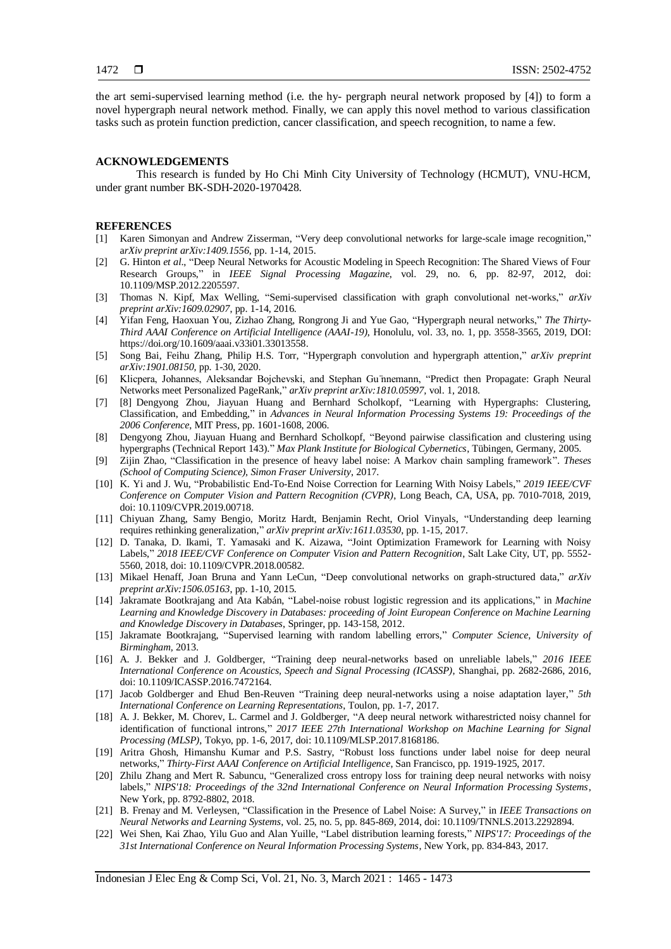the art semi-supervised learning method (i.e. the hy- pergraph neural network proposed by [4]) to form a novel hypergraph neural network method. Finally, we can apply this novel method to various classification tasks such as protein function prediction, cancer classification, and speech recognition, to name a few.

# **ACKNOWLEDGEMENTS**

This research is funded by Ho Chi Minh City University of Technology (HCMUT), VNU-HCM, under grant number BK-SDH-2020-1970428.

# **REFERENCES**

- [1] Karen Simonyan and Andrew Zisserman, "Very deep convolutional networks for large-scale image recognition," a*rXiv preprint arXiv:1409.1556,* pp. 1-14, 2015.
- [2] G. Hinton *et al*., "Deep Neural Networks for Acoustic Modeling in Speech Recognition: The Shared Views of Four Research Groups," in *IEEE Signal Processing Magazine*, vol. 29, no. 6, pp. 82-97, 2012, doi: 10.1109/MSP.2012.2205597.
- [3] Thomas N. Kipf, Max Welling, "Semi-supervised classification with graph convolutional net-works," *arXiv preprint arXiv:1609.02907*, pp. 1-14, 2016.
- [4] Yifan Feng, Haoxuan You, Zizhao Zhang, Rongrong Ji and Yue Gao, "Hypergraph neural networks," *The Thirty-Third AAAI Conference on Artificial Intelligence (AAAI-19)*, Honolulu, vol. 33, no. 1, pp. 3558-3565, 2019, DOI: https://doi.org/10.1609/aaai.v33i01.33013558.
- [5] Song Bai, Feihu Zhang, Philip H.S. Torr, "Hypergraph convolution and hypergraph attention," *arXiv preprint arXiv:1901.08150,* pp. 1-30, 2020.
- [6] Klicpera, Johannes, Aleksandar Bojchevski, and Stephan Gu ̈nnemann, "Predict then Propagate: Graph Neural Networks meet Personalized PageRank," *arXiv preprint arXiv:1810.05997,* vol. 1, 2018.
- [7] [8] Dengyong Zhou, Jiayuan Huang and Bernhard Scholkopf, "Learning with Hypergraphs: Clustering, Classification, and Embedding," in *Advances in Neural Information Processing Systems 19: Proceedings of the 2006 Conference*, MIT Press, pp. 1601-1608, 2006.
- [8] Dengyong Zhou, Jiayuan Huang and Bernhard Scholkopf, "Beyond pairwise classification and clustering using hypergraphs (Technical Report 143)." *Max Plank Institute for Biological Cybernetics*, Tübingen, Germany*,* 2005.
- [9] Zijin Zhao, "Classification in the presence of heavy label noise: A Markov chain sampling framework". *Theses (School of Computing Science), Simon Fraser University*, 2017.
- [10] K. Yi and J. Wu, "Probabilistic End-To-End Noise Correction for Learning With Noisy Labels," *2019 IEEE/CVF Conference on Computer Vision and Pattern Recognition (CVPR)*, Long Beach, CA, USA, pp. 7010-7018, 2019, doi: 10.1109/CVPR.2019.00718.
- [11] Chiyuan Zhang, Samy Bengio, Moritz Hardt, Benjamin Recht, Oriol Vinyals, "Understanding deep learning requires rethinking generalization," *arXiv preprint arXiv:1611.03530*, pp. 1-15, 2017.
- [12] D. Tanaka, D. Ikami, T. Yamasaki and K. Aizawa, "Joint Optimization Framework for Learning with Noisy Labels," *2018 IEEE/CVF Conference on Computer Vision and Pattern Recognition*, Salt Lake City, UT, pp. 5552- 5560, 2018, doi: 10.1109/CVPR.2018.00582.
- [13] Mikael Henaff, Joan Bruna and Yann LeCun, "Deep convolutional networks on graph-structured data," *arXiv preprint arXiv:1506.05163*, pp. 1-10, 2015.
- [14] Jakramate Bootkrajang and Ata Kabán, "Label-noise robust logistic regression and its applications," in *Machine Learning and Knowledge Discovery in Databases: proceeding of Joint European Conference on Machine Learning and Knowledge Discovery in Databases*, Springer, pp. 143-158, 2012.
- [15] Jakramate Bootkrajang, "Supervised learning with random labelling errors," *Computer Science, University of Birmingham,* 2013.
- [16] A. J. Bekker and J. Goldberger, "Training deep neural-networks based on unreliable labels," *2016 IEEE International Conference on Acoustics, Speech and Signal Processing (ICASSP)*, Shanghai, pp. 2682-2686, 2016, doi: 10.1109/ICASSP.2016.7472164.
- [17] Jacob Goldberger and Ehud Ben-Reuven "Training deep neural-networks using a noise adaptation layer," *5th International Conference on Learning Representations*, Toulon, pp. 1-7, 2017.
- [18] A. J. Bekker, M. Chorev, L. Carmel and J. Goldberger, "A deep neural network witharestricted noisy channel for identification of functional introns," *2017 IEEE 27th International Workshop on Machine Learning for Signal Processing (MLSP)*, Tokyo, pp. 1-6, 2017, doi: 10.1109/MLSP.2017.8168186.
- [19] Aritra Ghosh, Himanshu Kumar and P.S. Sastry, "Robust loss functions under label noise for deep neural networks," *Thirty-First AAAI Conference on Artificial Intelligence*, San Francisco, pp. 1919-1925, 2017.
- [20] Zhilu Zhang and Mert R. Sabuncu, "Generalized cross entropy loss for training deep neural networks with noisy labels," *NIPS'18: Proceedings of the 32nd International Conference on Neural Information Processing Systems*, New York, pp. 8792-8802, 2018.
- [21] B. Frenay and M. Verleysen, "Classification in the Presence of Label Noise: A Survey," in *IEEE Transactions on Neural Networks and Learning Systems*, vol. 25, no. 5, pp. 845-869, 2014, doi: 10.1109/TNNLS.2013.2292894.
- [22] Wei Shen, Kai Zhao, Yilu Guo and Alan Yuille, "Label distribution learning forests," *NIPS'17: Proceedings of the 31st International Conference on Neural Information Processing Systems*, New York, pp. 834-843, 2017.